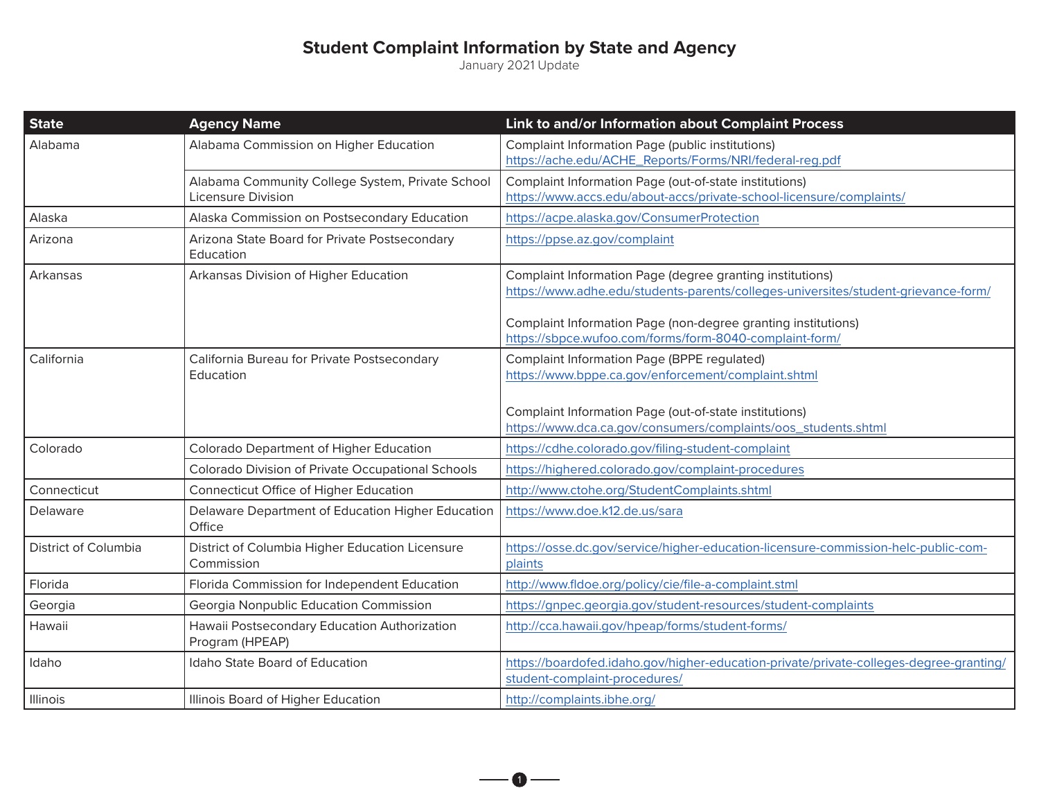## **Student Complaint Information by State and Agency**

January 2021 Update

| <b>State</b>         | <b>Agency Name</b>                                                            | Link to and/or Information about Complaint Process                                                                                                                                                                                                                          |
|----------------------|-------------------------------------------------------------------------------|-----------------------------------------------------------------------------------------------------------------------------------------------------------------------------------------------------------------------------------------------------------------------------|
| Alabama              | Alabama Commission on Higher Education                                        | <b>Complaint Information Page (public institutions)</b><br>https://ache.edu/ACHE_Reports/Forms/NRI/federal-reg.pdf                                                                                                                                                          |
|                      | Alabama Community College System, Private School<br><b>Licensure Division</b> | Complaint Information Page (out-of-state institutions)<br>https://www.accs.edu/about-accs/private-school-licensure/complaints/                                                                                                                                              |
| Alaska               | Alaska Commission on Postsecondary Education                                  | https://acpe.alaska.gov/ConsumerProtection                                                                                                                                                                                                                                  |
| Arizona              | Arizona State Board for Private Postsecondary<br>Education                    | https://ppse.az.gov/complaint                                                                                                                                                                                                                                               |
| Arkansas             | Arkansas Division of Higher Education                                         | Complaint Information Page (degree granting institutions)<br>https://www.adhe.edu/students-parents/colleges-universites/student-grievance-form/<br>Complaint Information Page (non-degree granting institutions)<br>https://sbpce.wufoo.com/forms/form-8040-complaint-form/ |
| California           | California Bureau for Private Postsecondary<br>Education                      | <b>Complaint Information Page (BPPE regulated)</b><br>https://www.bppe.ca.gov/enforcement/complaint.shtml<br>Complaint Information Page (out-of-state institutions)<br>https://www.dca.ca.gov/consumers/complaints/oos_students.shtml                                       |
| Colorado             | Colorado Department of Higher Education                                       | https://cdhe.colorado.gov/filing-student-complaint                                                                                                                                                                                                                          |
|                      | Colorado Division of Private Occupational Schools                             | https://highered.colorado.gov/complaint-procedures                                                                                                                                                                                                                          |
| Connecticut          | Connecticut Office of Higher Education                                        | http://www.ctohe.org/StudentComplaints.shtml                                                                                                                                                                                                                                |
| Delaware             | Delaware Department of Education Higher Education<br>Office                   | https://www.doe.k12.de.us/sara                                                                                                                                                                                                                                              |
| District of Columbia | District of Columbia Higher Education Licensure<br>Commission                 | https://osse.dc.gov/service/higher-education-licensure-commission-helc-public-com-<br>plaints                                                                                                                                                                               |
| Florida              | Florida Commission for Independent Education                                  | http://www.fldoe.org/policy/cie/file-a-complaint.stml                                                                                                                                                                                                                       |
| Georgia              | Georgia Nonpublic Education Commission                                        | https://gnpec.georgia.gov/student-resources/student-complaints                                                                                                                                                                                                              |
| Hawaii               | Hawaii Postsecondary Education Authorization<br>Program (HPEAP)               | http://cca.hawaii.gov/hpeap/forms/student-forms/                                                                                                                                                                                                                            |
| Idaho                | Idaho State Board of Education                                                | https://boardofed.idaho.gov/higher-education-private/private-colleges-degree-granting/<br>student-complaint-procedures/                                                                                                                                                     |
| Illinois             | Illinois Board of Higher Education                                            | http://complaints.ibhe.org/                                                                                                                                                                                                                                                 |

 $\overline{\phantom{a}}$  0  $\overline{\phantom{a}}$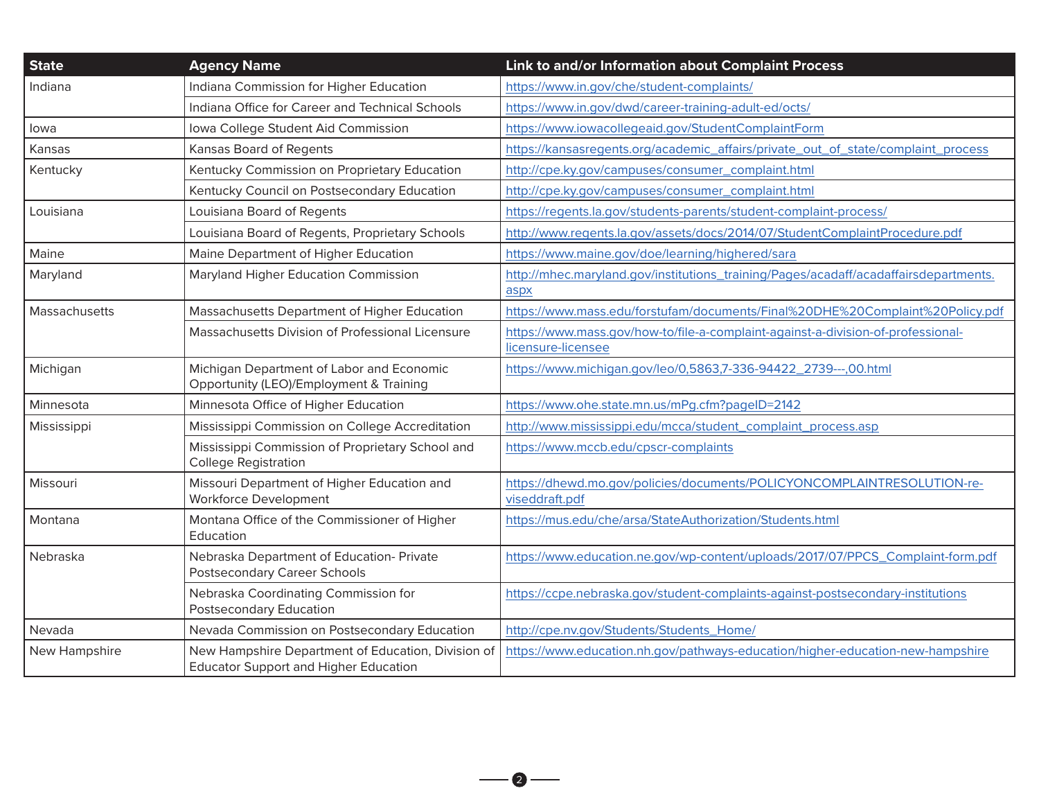| <b>State</b>  | <b>Agency Name</b>                                                                                 | Link to and/or Information about Complaint Process                                                     |
|---------------|----------------------------------------------------------------------------------------------------|--------------------------------------------------------------------------------------------------------|
| Indiana       | Indiana Commission for Higher Education                                                            | https://www.in.gov/che/student-complaints/                                                             |
|               | Indiana Office for Career and Technical Schools                                                    | https://www.in.gov/dwd/career-training-adult-ed/octs/                                                  |
| lowa          | Iowa College Student Aid Commission                                                                | https://www.iowacollegeaid.gov/StudentComplaintForm                                                    |
| Kansas        | Kansas Board of Regents                                                                            | https://kansasregents.org/academic_affairs/private_out_of_state/complaint_process                      |
| Kentucky      | Kentucky Commission on Proprietary Education                                                       | http://cpe.ky.gov/campuses/consumer_complaint.html                                                     |
|               | Kentucky Council on Postsecondary Education                                                        | http://cpe.ky.gov/campuses/consumer_complaint.html                                                     |
| Louisiana     | Louisiana Board of Regents                                                                         | https://regents.la.gov/students-parents/student-complaint-process/                                     |
|               | Louisiana Board of Regents, Proprietary Schools                                                    | http://www.regents.la.gov/assets/docs/2014/07/StudentComplaintProcedure.pdf                            |
| Maine         | Maine Department of Higher Education                                                               | https://www.maine.gov/doe/learning/highered/sara                                                       |
| Maryland      | Maryland Higher Education Commission                                                               | http://mhec.maryland.gov/institutions_training/Pages/acadaff/acadaffairsdepartments.<br>aspx           |
| Massachusetts | Massachusetts Department of Higher Education                                                       | https://www.mass.edu/forstufam/documents/Final%20DHE%20Complaint%20Policy.pdf                          |
|               | Massachusetts Division of Professional Licensure                                                   | https://www.mass.gov/how-to/file-a-complaint-against-a-division-of-professional-<br>licensure-licensee |
| Michigan      | Michigan Department of Labor and Economic<br>Opportunity (LEO)/Employment & Training               | https://www.michigan.gov/leo/0,5863,7-336-94422_2739---,00.html                                        |
| Minnesota     | Minnesota Office of Higher Education                                                               | https://www.ohe.state.mn.us/mPq.cfm?pageID=2142                                                        |
| Mississippi   | Mississippi Commission on College Accreditation                                                    | http://www.mississippi.edu/mcca/student_complaint_process.asp                                          |
|               | Mississippi Commission of Proprietary School and<br><b>College Registration</b>                    | https://www.mccb.edu/cpscr-complaints                                                                  |
| Missouri      | Missouri Department of Higher Education and<br>Workforce Development                               | https://dhewd.mo.gov/policies/documents/POLICYONCOMPLAINTRESOLUTION-re-<br>viseddraft.pdf              |
| Montana       | Montana Office of the Commissioner of Higher<br>Education                                          | https://mus.edu/che/arsa/StateAuthorization/Students.html                                              |
| Nebraska      | Nebraska Department of Education- Private<br><b>Postsecondary Career Schools</b>                   | https://www.education.ne.gov/wp-content/uploads/2017/07/PPCS_Complaint-form.pdf                        |
|               | Nebraska Coordinating Commission for<br>Postsecondary Education                                    | https://ccpe.nebraska.gov/student-complaints-against-postsecondary-institutions                        |
| Nevada        | Nevada Commission on Postsecondary Education                                                       | http://cpe.nv.gov/Students/Students_Home/                                                              |
| New Hampshire | New Hampshire Department of Education, Division of<br><b>Educator Support and Higher Education</b> | https://www.education.nh.gov/pathways-education/higher-education-new-hampshire                         |

 $-$ 0 $-$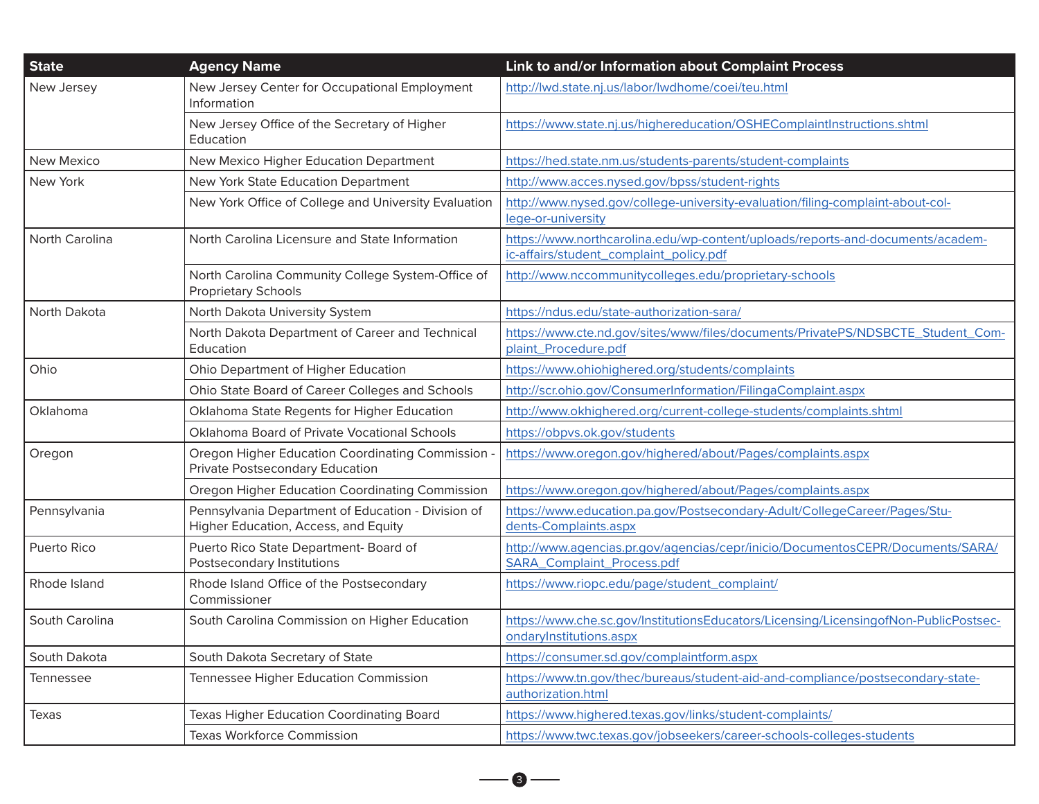| <b>State</b>      | <b>Agency Name</b>                                                                         | Link to and/or Information about Complaint Process                                                                        |
|-------------------|--------------------------------------------------------------------------------------------|---------------------------------------------------------------------------------------------------------------------------|
| New Jersey        | New Jersey Center for Occupational Employment<br>Information                               | http://lwd.state.nj.us/labor/lwdhome/coei/teu.html                                                                        |
|                   | New Jersey Office of the Secretary of Higher<br>Education                                  | https://www.state.nj.us/highereducation/OSHEComplaintInstructions.shtml                                                   |
| <b>New Mexico</b> | New Mexico Higher Education Department                                                     | https://hed.state.nm.us/students-parents/student-complaints                                                               |
| New York          | New York State Education Department                                                        | http://www.acces.nysed.gov/bpss/student-rights                                                                            |
|                   | New York Office of College and University Evaluation                                       | http://www.nysed.gov/college-university-evaluation/filing-complaint-about-col-<br>lege-or-university                      |
| North Carolina    | North Carolina Licensure and State Information                                             | https://www.northcarolina.edu/wp-content/uploads/reports-and-documents/academ-<br>ic-affairs/student_complaint_policy.pdf |
|                   | North Carolina Community College System-Office of<br><b>Proprietary Schools</b>            | http://www.nccommunitycolleges.edu/proprietary-schools                                                                    |
| North Dakota      | North Dakota University System                                                             | https://ndus.edu/state-authorization-sara/                                                                                |
|                   | North Dakota Department of Career and Technical<br>Education                               | https://www.cte.nd.gov/sites/www/files/documents/PrivatePS/NDSBCTE_Student_Com-<br>plaint_Procedure.pdf                   |
| Ohio              | Ohio Department of Higher Education                                                        | https://www.ohiohighered.org/students/complaints                                                                          |
|                   | Ohio State Board of Career Colleges and Schools                                            | http://scr.ohio.gov/ConsumerInformation/FilingaComplaint.aspx                                                             |
| Oklahoma          | Oklahoma State Regents for Higher Education                                                | http://www.okhighered.org/current-college-students/complaints.shtml                                                       |
|                   | Oklahoma Board of Private Vocational Schools                                               | https://obpvs.ok.gov/students                                                                                             |
| Oregon            | <b>Oregon Higher Education Coordinating Commission</b><br>Private Postsecondary Education  | https://www.oregon.gov/highered/about/Pages/complaints.aspx                                                               |
|                   | Oregon Higher Education Coordinating Commission                                            | https://www.oregon.gov/highered/about/Pages/complaints.aspx                                                               |
| Pennsylvania      | Pennsylvania Department of Education - Division of<br>Higher Education, Access, and Equity | https://www.education.pa.gov/Postsecondary-Adult/CollegeCareer/Pages/Stu-<br>dents-Complaints.aspx                        |
| Puerto Rico       | Puerto Rico State Department- Board of<br>Postsecondary Institutions                       | http://www.agencias.pr.gov/agencias/cepr/inicio/DocumentosCEPR/Documents/SARA/<br>SARA_Complaint_Process.pdf              |
| Rhode Island      | Rhode Island Office of the Postsecondary<br>Commissioner                                   | https://www.riopc.edu/page/student_complaint/                                                                             |
| South Carolina    | South Carolina Commission on Higher Education                                              | https://www.che.sc.gov/InstitutionsEducators/Licensing/LicensingofNon-PublicPostsec-<br>ondaryInstitutions.aspx           |
| South Dakota      | South Dakota Secretary of State                                                            | https://consumer.sd.gov/complaintform.aspx                                                                                |
| Tennessee         | Tennessee Higher Education Commission                                                      | https://www.tn.gov/thec/bureaus/student-aid-and-compliance/postsecondary-state-<br>authorization.html                     |
| Texas             | Texas Higher Education Coordinating Board                                                  | https://www.highered.texas.gov/links/student-complaints/                                                                  |
|                   | <b>Texas Workforce Commission</b>                                                          | https://www.twc.texas.gov/jobseekers/career-schools-colleges-students                                                     |